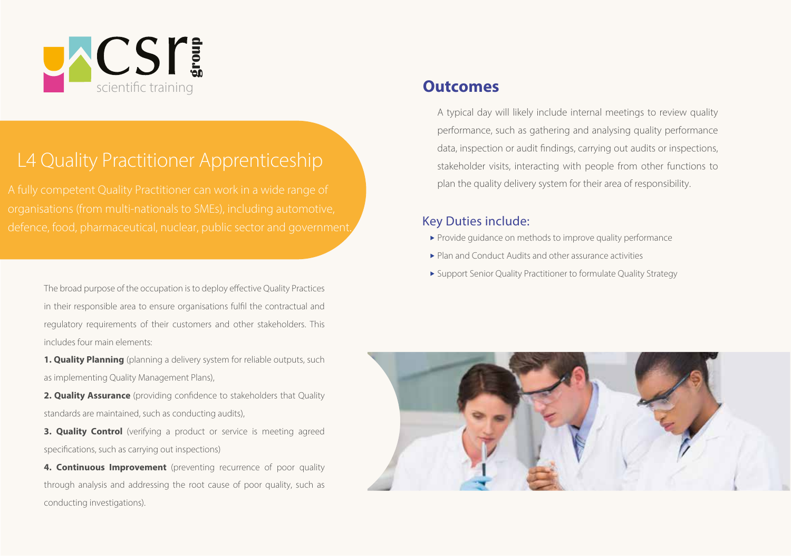

# L4 Quality Practitioner Apprenticeship

defence, food, pharmaceutical, nuclear, public sector and government. Key Duties include:

The broad purpose of the occupation is to deploy effective Quality Practices in their responsible area to ensure organisations fulfil the contractual and regulatory requirements of their customers and other stakeholders. This includes four main elements:

1. Quality Planning (planning a delivery system for reliable outputs, such as implementing Quality Management Plans),

2. Quality Assurance (providing confidence to stakeholders that Quality standards are maintained, such as conducting audits),

3. Quality Control (verifying a product or service is meeting agreed specifications, such as carrying out inspections)

4. Continuous Improvement (preventing recurrence of poor quality through analysis and addressing the root cause of poor quality, such as conducting investigations).

#### **Outcomes**

A typical day will likely include internal meetings to review quality performance, such as gathering and analysing quality performance data, inspection or audit findings, carrying out audits or inspections, stakeholder visits, interacting with people from other functions to plan the quality delivery system for their area of responsibility.

- Provide guidance on methods to improve quality performance
- Plan and Conduct Audits and other assurance activities
- Support Senior Quality Practitioner to formulate Quality Strategy

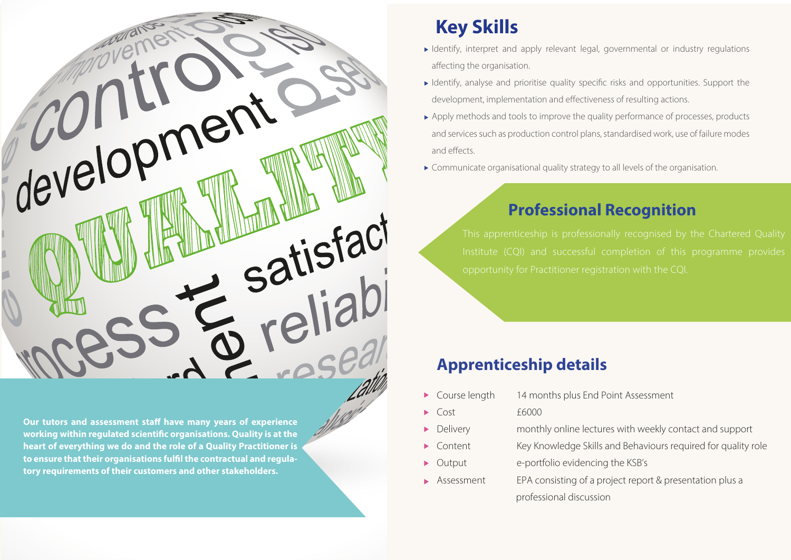

Our tutors and assessment staff have many years of experience working within regulated scientific organisations. Quality is at the<br>hoart of overuthing we do and the role of a Quality Practitioner is to ensure that their organisations fulfil the contractual and regulatory requirements of their customers and other stakeholders. heart of everything we do and the role of a Quality Practitioner is

# **Key Skills**

- Identify, interpret and apply relevant legal, governmental or industry regulations affecting the organisation.
- Identify, analyse and prioritise quality specific risks and opportunities. Support the development, implementation and effectiveness of resulting actions.
- Apply methods and tools to improve the quality performance of processes, products and services such as production control plans, standardised work, use of failure modes and effects
- ► Communicate organisational quality strategy to all levels of the organisation.

## **Professional Recognition**

### **Apprenticeship details**

- Course length 14 months plus End Point Assessment
- $\triangleright$  Cost  $\stackrel{\frown}{\phantom{}_{}}$  Cost  $\stackrel{\frown}{\phantom{}_{}}$   $\stackrel{\frown}{\phantom{}_{}}$   $\stackrel{\frown}{\phantom{}_{}}$   $\stackrel{\frown}{\phantom{}_{}}$   $\stackrel{\frown}{\phantom{}_{}}$   $\stackrel{\frown}{\phantom{}_{}}$   $\stackrel{\frown}{\phantom{}_{}}$   $\stackrel{\frown}{\phantom{}_{}}$   $\stackrel{\frown}{\phantom{}_{}}$   $\stackrel{\frown}{\phantom{}_{}}$   $\stackrel{\frown}{\phantom{}_{}}$   $\stackrel{\frown}{\phantom{}$
- Delivery monthly online lectures with weekly contact and support
- Content Key Knowledge Skills and Behaviours required for quality role
- Output e-portfolio evidencing the KSB's
- ▶ Assessment EPA consisting of a project report & presentation plus a professional discussion